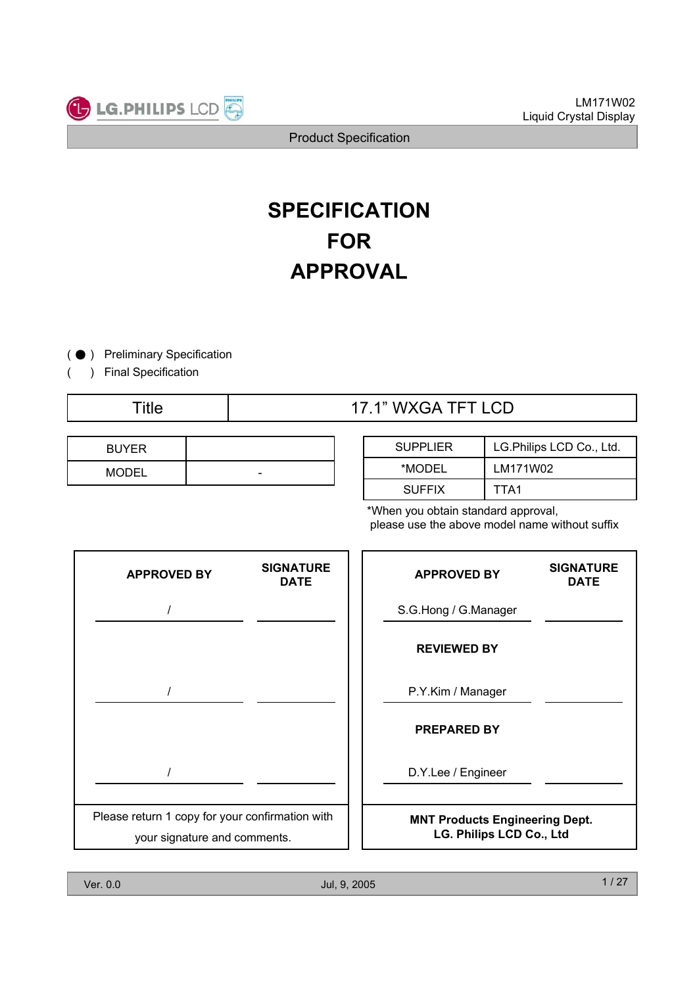

# **SPECIFICATION FOR APPROVAL**

 $\bullet$  ) Preliminary Specification  $($ 

) Final Specification

(

## Title  $\qquad$  | 17.1" WXGA TFT LCD

| <b>BUYER</b> |   |
|--------------|---|
| <b>MODEL</b> | - |

| <b>SUPPLIER</b> | LG.Philips LCD Co., Ltd. |
|-----------------|--------------------------|
| *MODEL          | LM171W02                 |
| <b>SUFFIX</b>   | TTA1                     |

\*When you obtain standard approval, please use the above model name without suffix

| <b>APPROVED BY</b>                                                              | <b>SIGNATURE</b><br><b>DATE</b> | <b>APPROVED BY</b>                                                | <b>SIGNATURE</b><br><b>DATE</b> |
|---------------------------------------------------------------------------------|---------------------------------|-------------------------------------------------------------------|---------------------------------|
|                                                                                 |                                 | S.G.Hong / G.Manager                                              |                                 |
|                                                                                 |                                 | <b>REVIEWED BY</b>                                                |                                 |
|                                                                                 |                                 | P.Y.Kim / Manager                                                 |                                 |
|                                                                                 |                                 | <b>PREPARED BY</b>                                                |                                 |
|                                                                                 |                                 | D.Y.Lee / Engineer                                                |                                 |
| Please return 1 copy for your confirmation with<br>your signature and comments. |                                 | <b>MNT Products Engineering Dept.</b><br>LG. Philips LCD Co., Ltd |                                 |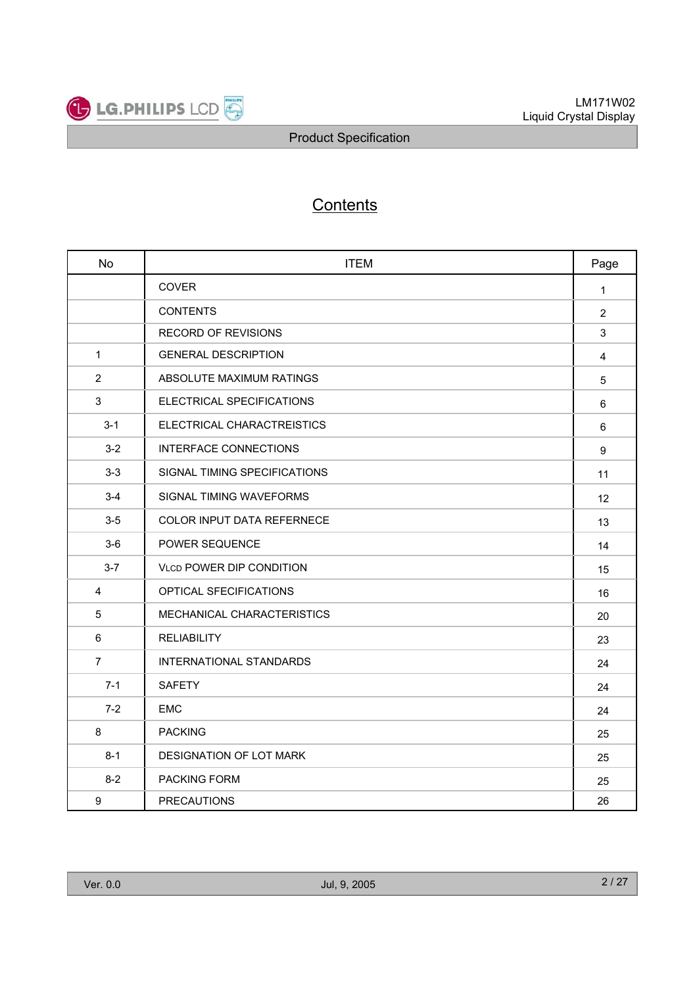

# **Contents**

| <b>No</b>      | <b>ITEM</b>                       | Page             |
|----------------|-----------------------------------|------------------|
|                | COVER                             | $\mathbf{1}$     |
|                | <b>CONTENTS</b>                   | $\overline{2}$   |
|                | <b>RECORD OF REVISIONS</b>        | 3                |
| $\mathbf{1}$   | <b>GENERAL DESCRIPTION</b>        | 4                |
| $\overline{2}$ | ABSOLUTE MAXIMUM RATINGS          | 5                |
| $\mathbf{3}$   | ELECTRICAL SPECIFICATIONS         | 6                |
| $3 - 1$        | ELECTRICAL CHARACTREISTICS        | 6                |
| $3 - 2$        | INTERFACE CONNECTIONS             | $\boldsymbol{9}$ |
| $3 - 3$        | SIGNAL TIMING SPECIFICATIONS      | 11               |
| $3 - 4$        | SIGNAL TIMING WAVEFORMS           | 12               |
| $3-5$          | <b>COLOR INPUT DATA REFERNECE</b> | 13               |
| $3-6$          | POWER SEQUENCE                    | 14               |
| $3 - 7$        | <b>VLCD POWER DIP CONDITION</b>   | 15               |
| 4              | OPTICAL SFECIFICATIONS            | 16               |
| 5              | MECHANICAL CHARACTERISTICS        | 20               |
| 6              | <b>RELIABILITY</b>                | 23               |
| $\overline{7}$ | INTERNATIONAL STANDARDS           | 24               |
| $7-1$          | <b>SAFETY</b>                     | 24               |
| $7 - 2$        | <b>EMC</b>                        | 24               |
| 8              | <b>PACKING</b>                    | 25               |
| $8 - 1$        | DESIGNATION OF LOT MARK           | 25               |
| $8 - 2$        | PACKING FORM                      | 25               |
| 9              | <b>PRECAUTIONS</b>                | 26               |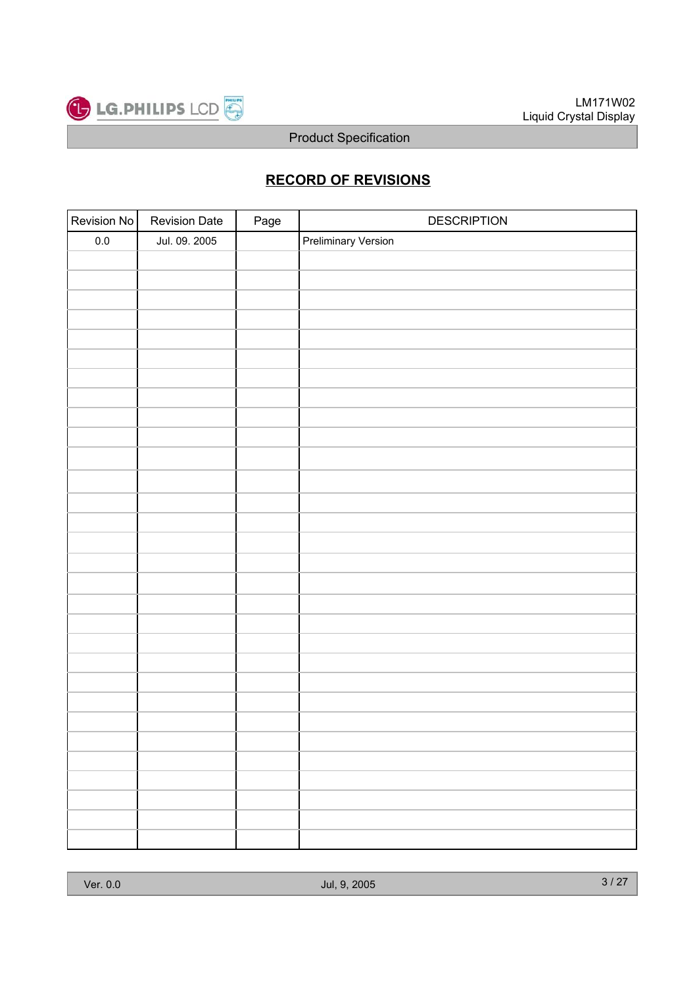

### **RECORD OF REVISIONS**

| Revision No | <b>Revision Date</b> | Page | <b>DESCRIPTION</b>         |
|-------------|----------------------|------|----------------------------|
| $0.0\,$     | Jul. 09. 2005        |      | <b>Preliminary Version</b> |
|             |                      |      |                            |
|             |                      |      |                            |
|             |                      |      |                            |
|             |                      |      |                            |
|             |                      |      |                            |
|             |                      |      |                            |
|             |                      |      |                            |
|             |                      |      |                            |
|             |                      |      |                            |
|             |                      |      |                            |
|             |                      |      |                            |
|             |                      |      |                            |
|             |                      |      |                            |
|             |                      |      |                            |
|             |                      |      |                            |
|             |                      |      |                            |
|             |                      |      |                            |
|             |                      |      |                            |
|             |                      |      |                            |
|             |                      |      |                            |
|             |                      |      |                            |
|             |                      |      |                            |
|             |                      |      |                            |
|             |                      |      |                            |
|             |                      |      |                            |
|             |                      |      |                            |
|             |                      |      |                            |
|             |                      |      |                            |
|             |                      |      |                            |
|             |                      |      |                            |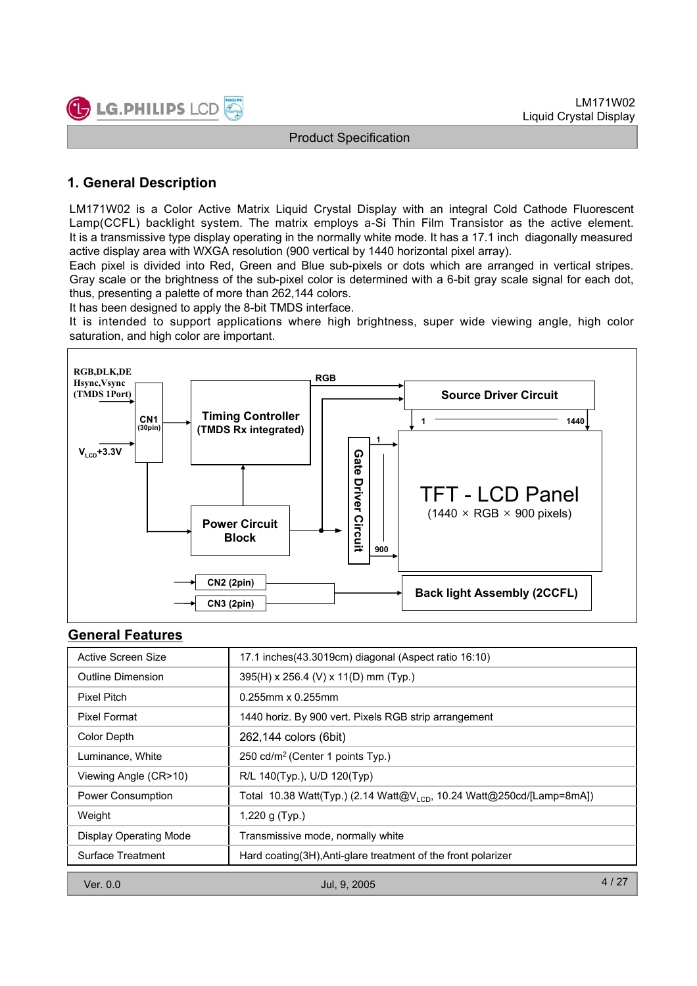

### **1. General Description**

LM171W02 is a Color Active Matrix Liquid Crystal Display with an integral Cold Cathode Fluorescent Lamp(CCFL) backlight system. The matrix employs a-Si Thin Film Transistor as the active element. It is a transmissive type display operating in the normally white mode. It has a 17.1 inch diagonally measured active display area with WXGA resolution (900 vertical by 1440 horizontal pixel array).

Each pixel is divided into Red, Green and Blue sub-pixels or dots which are arranged in vertical stripes. Gray scale or the brightness of the sub-pixel color is determined with a 6-bit gray scale signal for each dot, thus, presenting a palette of more than 262,144 colors.

It has been designed to apply the 8-bit TMDS interface.

It is intended to support applications where high brightness, super wide viewing angle, high color saturation, and high color are important.



#### **General Features**

| $V_{\rm LCD}$ +3.3V                                                                                    | Gate<br>U<br><b>river</b><br><b>TFT - LCD Panel</b><br>$(1440 \times \text{RGB} \times 900 \text{ pixels})$<br>Circuit<br><b>Power Circuit</b><br><b>Block</b><br>900<br><b>CN2 (2pin)</b><br><b>Back light Assembly (2CCFL)</b><br><b>CN3 (2pin)</b> |  |  |  |
|--------------------------------------------------------------------------------------------------------|-------------------------------------------------------------------------------------------------------------------------------------------------------------------------------------------------------------------------------------------------------|--|--|--|
| <b>General Features</b>                                                                                |                                                                                                                                                                                                                                                       |  |  |  |
| <b>Active Screen Size</b>                                                                              | 17.1 inches(43.3019cm) diagonal (Aspect ratio 16:10)                                                                                                                                                                                                  |  |  |  |
| <b>Outline Dimension</b>                                                                               | 395(H) x 256.4 (V) x 11(D) mm (Typ.)                                                                                                                                                                                                                  |  |  |  |
| <b>Pixel Pitch</b>                                                                                     | 0.255mm x 0.255mm                                                                                                                                                                                                                                     |  |  |  |
| <b>Pixel Format</b>                                                                                    | 1440 horiz. By 900 vert. Pixels RGB strip arrangement                                                                                                                                                                                                 |  |  |  |
| <b>Color Depth</b>                                                                                     | 262,144 colors (6bit)                                                                                                                                                                                                                                 |  |  |  |
| Luminance, White                                                                                       | 250 cd/m <sup>2</sup> (Center 1 points Typ.)                                                                                                                                                                                                          |  |  |  |
| Viewing Angle (CR>10)<br>R/L 140(Typ.), U/D 120(Typ)                                                   |                                                                                                                                                                                                                                                       |  |  |  |
| Power Consumption<br>Total 10.38 Watt(Typ.) (2.14 Watt@V <sub>LCD</sub> , 10.24 Watt@250cd/[Lamp=8mA]) |                                                                                                                                                                                                                                                       |  |  |  |
| Weight<br>1,220 g (Typ.)                                                                               |                                                                                                                                                                                                                                                       |  |  |  |
| <b>Display Operating Mode</b><br>Transmissive mode, normally white                                     |                                                                                                                                                                                                                                                       |  |  |  |
| <b>Surface Treatment</b>                                                                               | Hard coating (3H), Anti-glare treatment of the front polarizer                                                                                                                                                                                        |  |  |  |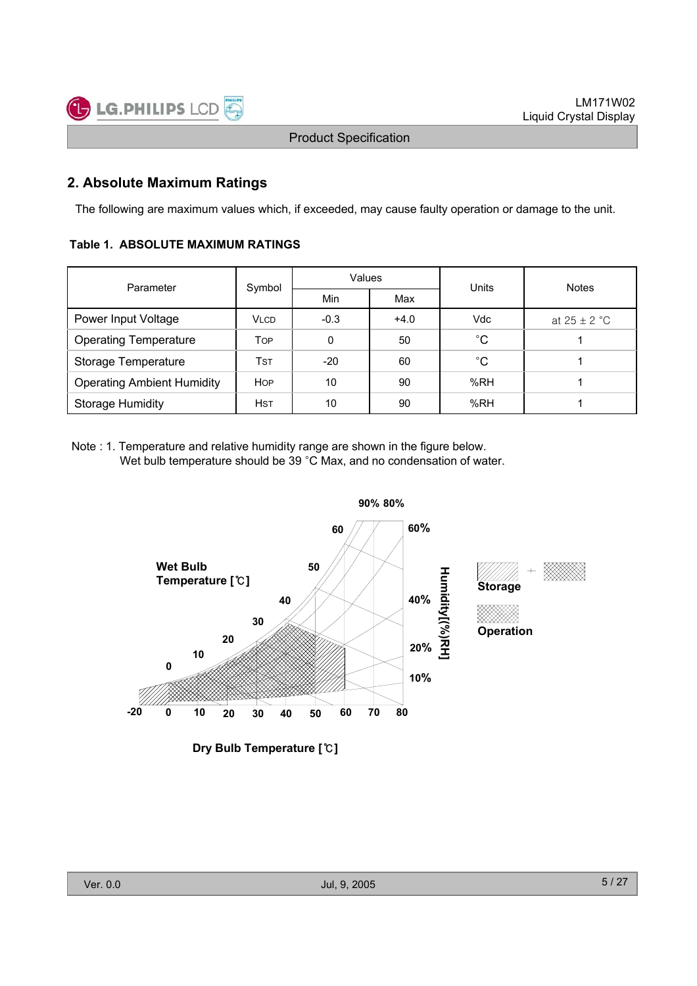

### **2. Absolute Maximum Ratings**

The following are maximum values which, if exceeded, may cause faulty operation or damage to the unit.

#### **Table 1. ABSOLUTE MAXIMUM RATINGS**

| Parameter                         | Symbol      | Values |        | Units       | <b>Notes</b>     |  |
|-----------------------------------|-------------|--------|--------|-------------|------------------|--|
|                                   |             | Min    | Max    |             |                  |  |
| Power Input Voltage               | <b>VLCD</b> | $-0.3$ | $+4.0$ | Vdc         | at $25 \pm 2$ °C |  |
| <b>Operating Temperature</b>      | <b>TOP</b>  | 0      | 50     | $^{\circ}C$ |                  |  |
| Storage Temperature               | Tst         | $-20$  | 60     | $^{\circ}C$ |                  |  |
| <b>Operating Ambient Humidity</b> | <b>HOP</b>  | 10     | 90     | %RH         |                  |  |
| <b>Storage Humidity</b>           | <b>HST</b>  | 10     | 90     | %RH         |                  |  |

Note : 1. Temperature and relative humidity range are shown in the figure below. Wet bulb temperature should be  $39 \degree C$  Max, and no condensation of water.



**Dry Bulb Temperature []**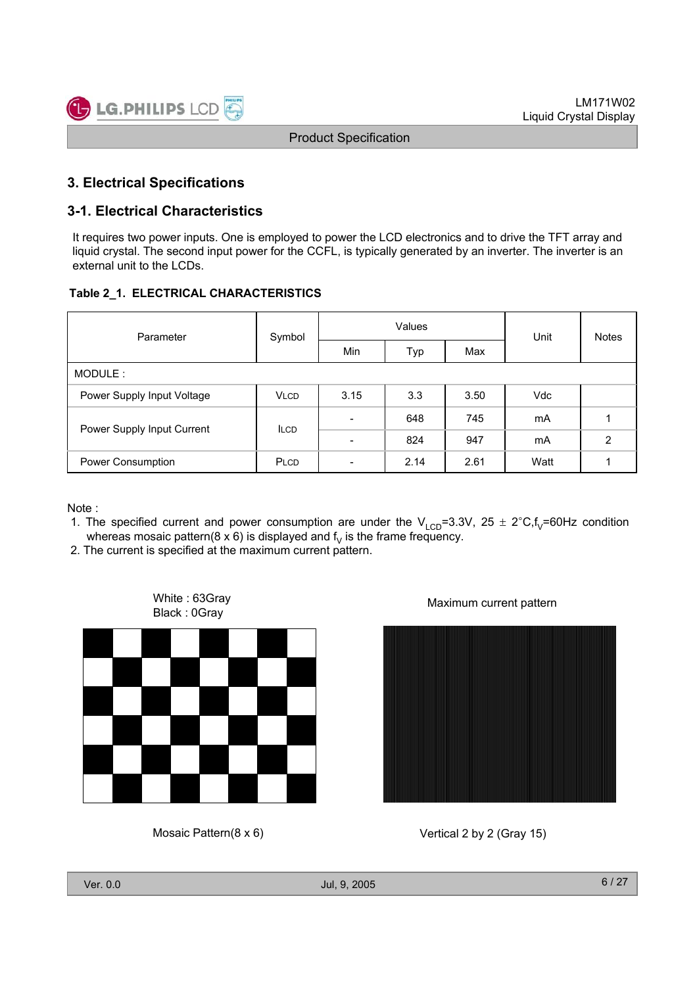### **3. Electrical Specifications**

### **3-1. Electrical Characteristics**

It requires two power inputs. One is employed to power the LCD electronics and to drive the TFT array and liquid crystal. The second input power for the CCFL, is typically generated by an inverter. The inverter is an external unit to the LCDs.

#### **Table 2\_1. ELECTRICAL CHARACTERISTICS**

| Parameter                  | Symbol      |                          | Values | Unit | <b>Notes</b> |   |
|----------------------------|-------------|--------------------------|--------|------|--------------|---|
|                            |             | Min                      | Typ    | Max  |              |   |
| MODULE:                    |             |                          |        |      |              |   |
| Power Supply Input Voltage | <b>VLCD</b> | 3.15                     | 3.3    | 3.50 | <b>Vdc</b>   |   |
| Power Supply Input Current | <b>ILCD</b> | $\overline{\phantom{0}}$ | 648    | 745  | mA           |   |
|                            |             | $\overline{\phantom{0}}$ | 824    | 947  | mA           | 2 |
| Power Consumption          | PLCD        | $\overline{\phantom{0}}$ | 2.14   | 2.61 | Watt         |   |

Note :

- 1. The specified current and power consumption are under the  $V_{LCD}$ =3.3V, 25  $\pm$  2°C,f<sub>V</sub>=60Hz condition whereas mosaic pattern(8 x 6) is displayed and  $f<sub>v</sub>$  is the frame frequency.
- 2. The current is specified at the maximum current pattern.



Mosaic Pattern(8 x 6)





Vertical 2 by 2 (Gray 15)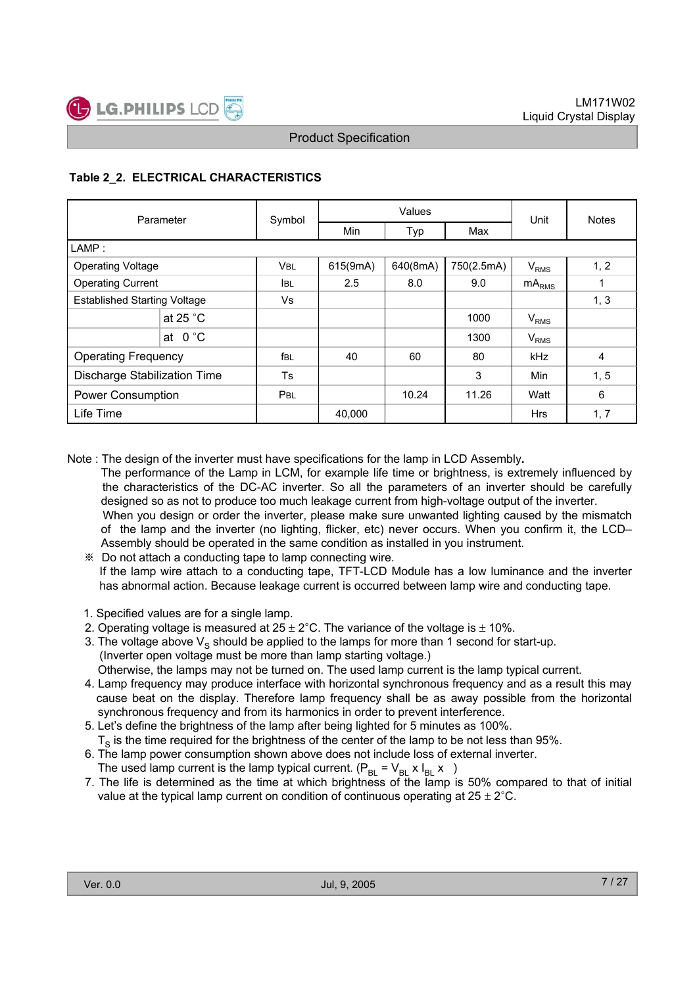### **Table 2\_2. ELECTRICAL CHARACTERISTICS**

| Parameter                           |                  | Symbol      |          | Values   | Unit       | <b>Notes</b>           |      |
|-------------------------------------|------------------|-------------|----------|----------|------------|------------------------|------|
|                                     |                  |             | Min      | Typ      | Max        |                        |      |
| LAMP:                               |                  |             |          |          |            |                        |      |
| <b>Operating Voltage</b>            |                  | <b>VBL</b>  | 615(9mA) | 640(8mA) | 750(2.5mA) | <b>V<sub>RMS</sub></b> | 1, 2 |
| <b>Operating Current</b>            |                  | <b>I</b> BL | 2.5      | 8.0      | 9.0        | mA <sub>RMS</sub>      | 1    |
| <b>Established Starting Voltage</b> |                  | Vs          |          |          |            |                        | 1, 3 |
|                                     | at 25 $°C$       |             |          |          | 1000       | V <sub>RMS</sub>       |      |
|                                     | at $0^{\circ}$ C |             |          |          | 1300       | V <sub>RMS</sub>       |      |
| <b>Operating Frequency</b>          |                  | fbl         | 40       | 60       | 80         | kHz                    | 4    |
| Discharge Stabilization Time        |                  | <b>Ts</b>   |          |          | 3          | Min                    | 1, 5 |
| <b>Power Consumption</b>            |                  | PBL         |          | 10.24    | 11.26      | Watt                   | 6    |
| Life Time                           |                  |             | 40,000   |          |            | <b>Hrs</b>             | 1, 7 |

Note : The design of the inverter must have specifications for the lamp in LCD Assembly**.**

- The performance of the Lamp in LCM, for example life time or brightness, is extremely influenced by the characteristics of the DC-AC inverter. So all the parameters of an inverter should be carefully designed so as not to produce too much leakage current from high-voltage output of the inverter. When you design or order the inverter, please make sure unwanted lighting caused by the mismatch of the lamp and the inverter (no lighting, flicker, etc) never occurs. When you confirm it, the LCD– Assembly should be operated in the same condition as installed in you instrument.
	- Do not attach a conducting tape to lamp connecting wire. If the lamp wire attach to a conducting tape, TFT-LCD Module has a low luminance and the inverter has abnormal action. Because leakage current is occurred between lamp wire and conducting tape.
- 1. Specified values are for a single lamp.
- 2. Operating voltage is measured at  $25 \pm 2^{\circ}$ C. The variance of the voltage is  $\pm$  10%.
- 3. The voltage above  $V_s$  should be applied to the lamps for more than 1 second for start-up. (Inverter open voltage must be more than lamp starting voltage.) Otherwise, the lamps may not be turned on. The used lamp current is the lamp typical current.
- 4. Lamp frequency may produce interface with horizontal synchronous frequency and as a result this may
- cause beat on the display. Therefore lamp frequency shall be as away possible from the horizontal synchronous frequency and from its harmonics in order to prevent interference.
- 5. Let's define the brightness of the lamp after being lighted for 5 minutes as 100%.  $T<sub>s</sub>$  is the time required for the brightness of the center of the lamp to be not less than 95%.
- 6. The lamp power consumption shown above does not include loss of external inverter.
- The used lamp current is the lamp typical current.  $(P_{\text{BI}} = V_{\text{BI}} \times I_{\text{BI}} \times )$
- 7. The life is determined as the time at which brightness of the lamp is 50% compared to that of initial value at the typical lamp current on condition of continuous operating at  $25 \pm 2^{\circ}$ C.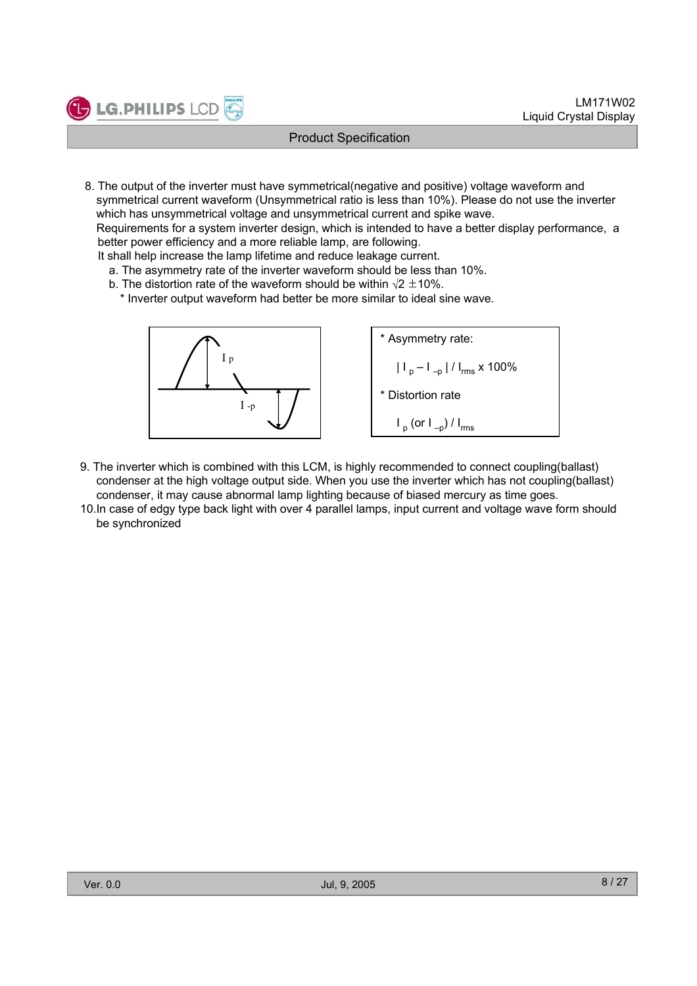8. The output of the inverter must have symmetrical(negative and positive) voltage waveform and symmetrical current waveform (Unsymmetrical ratio is less than 10%). Please do not use the inverter which has unsymmetrical voltage and unsymmetrical current and spike wave.

Requirements for a system inverter design, which is intended to have a better display performance, a better power efficiency and a more reliable lamp, are following.

It shall help increase the lamp lifetime and reduce leakage current.

**LG.PHILIPS LCD** 

- a. The asymmetry rate of the inverter waveform should be less than 10%.
- b. The distortion rate of the waveform should be within  $\sqrt{2} \pm 10\%$ .
	- \* Inverter output waveform had better be more similar to ideal sine wave.



- 9. The inverter which is combined with this LCM, is highly recommended to connect coupling(ballast) condenser at the high voltage output side. When you use the inverter which has not coupling(ballast) condenser, it may cause abnormal lamp lighting because of biased mercury as time goes.
- 10.In case of edgy type back light with over 4 parallel lamps, input current and voltage wave form should be synchronized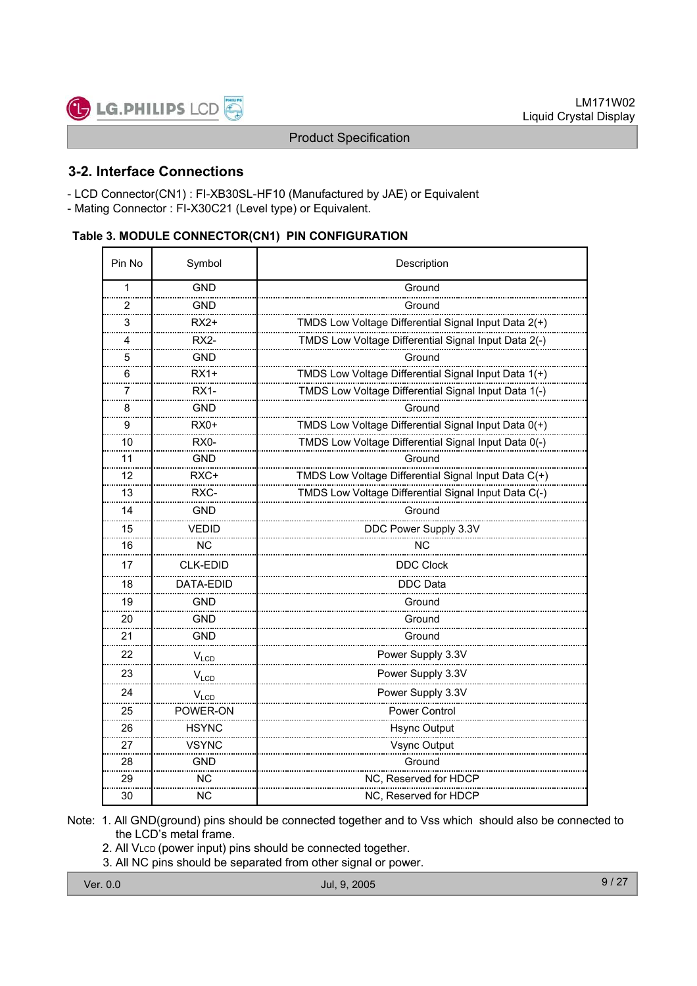

### **3-2. Interface Connections**

LG.PHILIPS LCD

- LCD Connector(CN1) : FI-XB30SL-HF10 (Manufactured by JAE) or Equivalent
- Mating Connector : FI-X30C21 (Level type) or Equivalent.

#### **Table 3. MODULE CONNECTOR(CN1) PIN CONFIGURATION**

| Pin No         | Symbol          | Description                                          |  |  |  |  |  |
|----------------|-----------------|------------------------------------------------------|--|--|--|--|--|
| 1              | <b>GND</b>      | Ground                                               |  |  |  |  |  |
| $\overline{2}$ | <b>GND</b>      | Ground                                               |  |  |  |  |  |
| 3              | RX2+            | TMDS Low Voltage Differential Signal Input Data 2(+) |  |  |  |  |  |
| 4              | RX2-            | TMDS Low Voltage Differential Signal Input Data 2(-) |  |  |  |  |  |
| 5              | <b>GND</b>      | Ground                                               |  |  |  |  |  |
| 6              | RX1+            | TMDS Low Voltage Differential Signal Input Data 1(+) |  |  |  |  |  |
| 7              | <b>RX1-</b>     | TMDS Low Voltage Differential Signal Input Data 1(-) |  |  |  |  |  |
| 8              | <b>GND</b>      | Ground                                               |  |  |  |  |  |
| 9              | $RX0+$          | TMDS Low Voltage Differential Signal Input Data 0(+) |  |  |  |  |  |
| 10             | RX0-            | TMDS Low Voltage Differential Signal Input Data 0(-) |  |  |  |  |  |
| 11             | GND             | Ground                                               |  |  |  |  |  |
| 12             | RXC+            | TMDS Low Voltage Differential Signal Input Data C(+) |  |  |  |  |  |
| 13             | RXC-            | TMDS Low Voltage Differential Signal Input Data C(-) |  |  |  |  |  |
| 14             | GND             | Ground                                               |  |  |  |  |  |
| 15             | <b>VEDID</b>    | DDC Power Supply 3.3V                                |  |  |  |  |  |
| 16             | ΝC              | <b>NC</b>                                            |  |  |  |  |  |
| 17             | <b>CLK-EDID</b> | <b>DDC Clock</b>                                     |  |  |  |  |  |
| 18             | DATA-EDID       | DDC Data                                             |  |  |  |  |  |
| 19             | <b>GND</b>      | Ground                                               |  |  |  |  |  |
| 20             | GND             | Ground                                               |  |  |  |  |  |
| 21             | GND             | Ground                                               |  |  |  |  |  |
| 22             | $V_{LCD}$       | Power Supply 3.3V                                    |  |  |  |  |  |
| 23             | $V_{LCD}$       | Power Supply 3.3V                                    |  |  |  |  |  |
| 24             | $V_{LCD}$       | Power Supply 3.3V                                    |  |  |  |  |  |
| 25             | POWER-ON        | <b>Power Control</b>                                 |  |  |  |  |  |
| 26             | <b>HSYNC</b>    | <b>Hsync Output</b>                                  |  |  |  |  |  |
| 27             | VSYNC           | Vsync Output                                         |  |  |  |  |  |
| 28             | GND             | Ground                                               |  |  |  |  |  |
| 29             | <b>NC</b>       | NC, Reserved for HDCP                                |  |  |  |  |  |
| 30             | <b>NC</b>       | NC, Reserved for HDCP                                |  |  |  |  |  |

- Note: 1. All GND(ground) pins should be connected together and to Vss which should also be connected to the LCD's metal frame.
	- 2. All VLCD (power input) pins should be connected together.
	- 3. All NC pins should be separated from other signal or power.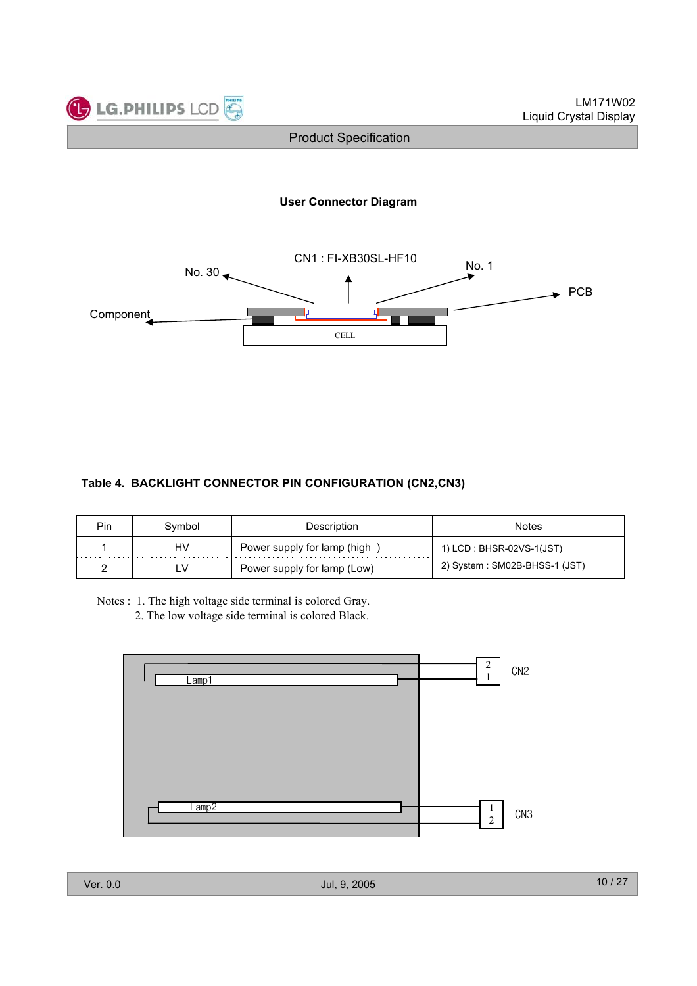

#### **User Connector Diagram**



#### **Table 4. BACKLIGHT CONNECTOR PIN CONFIGURATION (CN2,CN3)**

| Pin | vmbol | Description                 | Notes                         |
|-----|-------|-----------------------------|-------------------------------|
|     | HV    | Power supply for lamp (high | 1) LCD : BHSR-02VS-1(JST)     |
|     |       | Power supply for lamp (Low) | 2) System: SM02B-BHSS-1 (JST) |

Notes : 1. The high voltage side terminal is colored Gray.

2. The low voltage side terminal is colored Black.

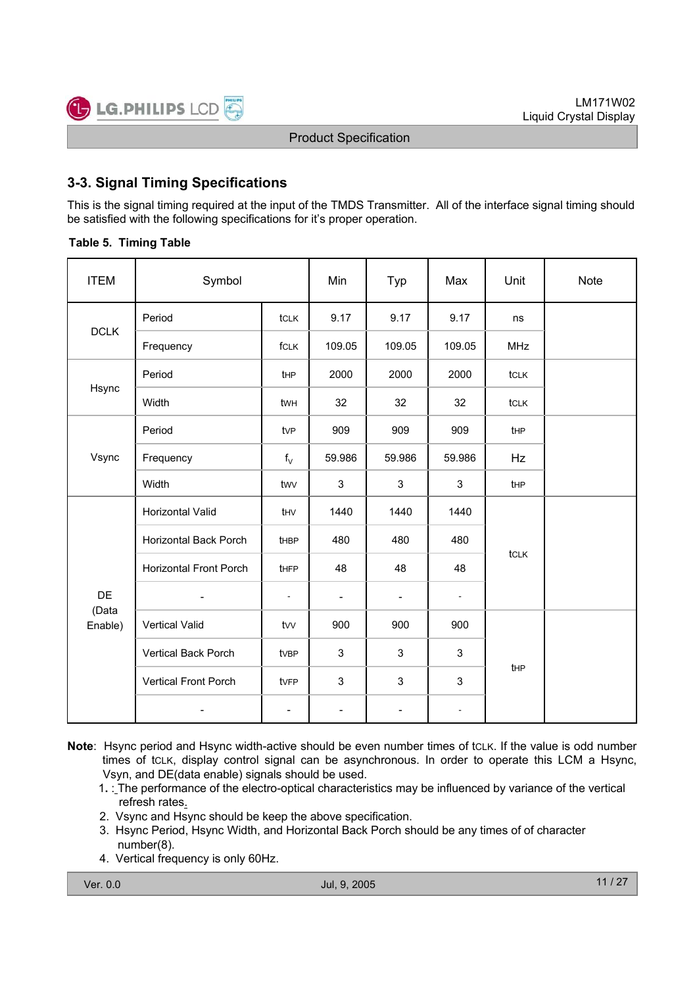### **3-3. Signal Timing Specifications**

This is the signal timing required at the input of the TMDS Transmitter. All of the interface signal timing should be satisfied with the following specifications for it's proper operation.

#### **Table 5. Timing Table**

| <b>ITEM</b>            | Symbol                        |                | Min                      | Typ                      | Max                      | Unit        | <b>Note</b> |
|------------------------|-------------------------------|----------------|--------------------------|--------------------------|--------------------------|-------------|-------------|
|                        | Period                        | tclk           | 9.17                     | 9.17                     | 9.17                     | ns          |             |
| <b>DCLK</b>            | Frequency                     | fCLK           | 109.05                   | 109.05                   | 109.05                   | <b>MHz</b>  |             |
|                        | Period                        | tHP            | 2000                     | 2000                     | 2000                     | tclk        |             |
| Hsync                  | Width                         | twh            | 32                       | 32                       | 32                       | tclk        |             |
|                        | Period                        | tvP            | 909                      | 909                      | 909                      | tHP         |             |
| Vsync                  | Frequency                     | $f_V$          | 59.986                   | 59.986                   | 59.986                   | Hz          |             |
|                        | Width                         | twv            | 3                        | 3                        | 3                        | <b>t</b> HP |             |
|                        | Horizontal Valid              | thv            | 1440                     | 1440                     | 1440                     |             |             |
|                        | Horizontal Back Porch         | thBP           | 480                      | 480                      | 480                      |             |             |
|                        | <b>Horizontal Front Porch</b> | <b>tHFP</b>    | 48                       | 48                       | 48                       | tcLK        |             |
| DE<br>(Data<br>Enable) | $\overline{\phantom{a}}$      | $\overline{a}$ | $\overline{\phantom{a}}$ | $\overline{\phantom{a}}$ | $\overline{\phantom{a}}$ |             |             |
|                        | <b>Vertical Valid</b>         | tvv            | 900                      | 900                      | 900                      |             |             |
|                        | Vertical Back Porch           | tvBP           | 3                        | 3                        | 3                        |             |             |
|                        | Vertical Front Porch          | tvFP           | $\mathbf{3}$             | 3                        | 3                        | tHP         |             |
|                        |                               | $\overline{a}$ | $\overline{\phantom{a}}$ | $\overline{\phantom{a}}$ | $\blacksquare$           |             |             |

- **Note**: Hsync period and Hsync width-active should be even number times of tCLK. If the value is odd number times of tCLK, display control signal can be asynchronous. In order to operate this LCM a Hsync, Vsyn, and DE(data enable) signals should be used.
	- 1**.** : The performance of the electro-optical characteristics may be influenced by variance of the vertical refresh rates.
	- 2. Vsync and Hsync should be keep the above specification.
	- 3. Hsync Period, Hsync Width, and Horizontal Back Porch should be any times of of character number(8).
	- 4. Vertical frequency is only 60Hz.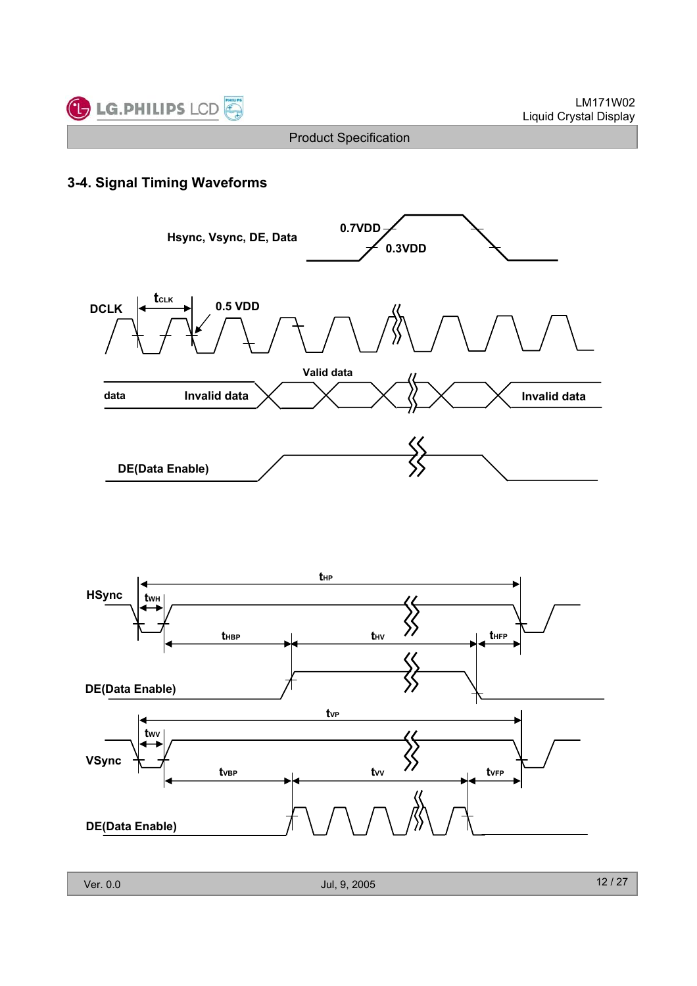

### **3-4. Signal Timing Waveforms**



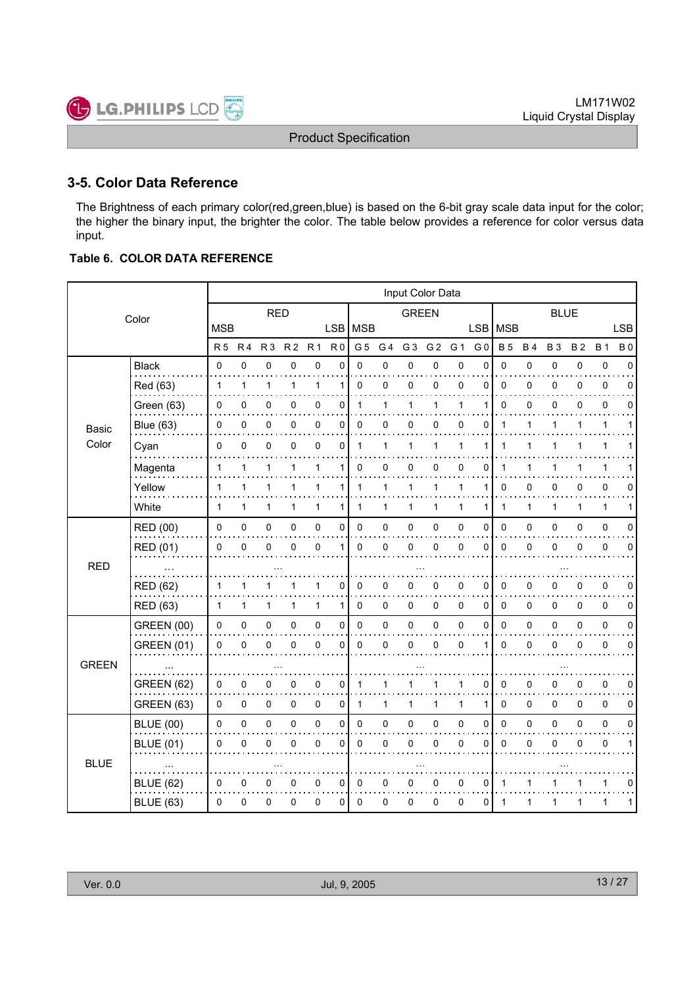### **3-5. Color Data Reference**

LG.PHILIPS LCD

The Brightness of each primary color(red,green,blue) is based on the 6-bit gray scale data input for the color; the higher the binary input, the brighter the color. The table below provides a reference for color versus data input.

### **Table 6. COLOR DATA REFERENCE**

 $rac{p_{\text{MILIPS}}}{r}$ 

|              |                   |                | Input Color Data |                |                |                |                |                |                |                |                |                |                |              |              |              |             |              |             |
|--------------|-------------------|----------------|------------------|----------------|----------------|----------------|----------------|----------------|----------------|----------------|----------------|----------------|----------------|--------------|--------------|--------------|-------------|--------------|-------------|
| Color        |                   |                |                  | <b>RED</b>     |                |                |                |                |                | <b>GREEN</b>   |                |                |                |              |              | <b>BLUE</b>  |             |              |             |
|              |                   | <b>MSB</b>     |                  |                |                |                |                | LSB   MSB      |                |                |                |                | <b>LSB</b>     | MSB          |              |              |             |              | <b>LSB</b>  |
|              |                   | R <sub>5</sub> | R <sub>4</sub>   | R <sub>3</sub> | R <sub>2</sub> | R <sub>1</sub> | R <sub>0</sub> | G <sub>5</sub> | G <sub>4</sub> | G <sub>3</sub> | G <sub>2</sub> | G <sub>1</sub> | G <sub>0</sub> | <b>B5</b>    | <b>B4</b>    | <b>B3</b>    | <b>B2</b>   | <b>B1</b>    | <b>B0</b>   |
|              | <b>Black</b>      | 0              | 0                | $\mathbf 0$    | $\mathbf 0$    | $\mathbf 0$    | $\mathbf 0$    | 0              | $\mathsf 0$    | 0              | $\mathsf 0$    | $\pmb{0}$      | $\mathbf 0$    | 0            | $\mathsf 0$  | 0            | $\mathsf 0$ | $\pmb{0}$    | $\Omega$    |
|              | Red (63)          | 1              | 1                | $\mathbf{1}$   | 1              | 1              | 1              | $\mathbf 0$    | 0              | 0              | 0              | 0              | 0              | $\mathbf{0}$ | 0            | 0            | 0           | $\pmb{0}$    | 0           |
|              | Green (63)        | 0              | 0                | 0              | 0              | 0              | 0              | 1              | 1              | 1              | $\mathbf{1}$   | 1              | 1              | $\Omega$     | $\Omega$     | 0            | 0           | 0            | $\Omega$    |
| Basic        | <b>Blue (63)</b>  | 0              | 0                | 0              | 0              | 0              | 0              | 0              | 0              | 0              | 0              | 0              | 0              | 1            | 1            | 1            | 1           | 1            | 1           |
| Color        | Cyan              | 0              | 0                | 0              | 0              | 0              | $\mathbf 0$    | $\mathbf{1}$   | 1              | 1              | 1              | 1              | 1              | 1            | 1            | 1            | 1           | 1            |             |
|              | Magenta           | 1              | 1                | $\mathbf{1}$   | 1              | 1              | 1              | 0              | 0              | 0              | 0              | 0              | 0              | 1            | 1            | 1            | 1           | 1            |             |
|              | Yellow            | 1              | 1                | 1              | 1              | 1              | 1              | 1              | 1              | 1              | 1              | 1              |                | $\mathbf{0}$ | $\mathbf 0$  | 0            | 0           | 0            | 0           |
|              | White             | 1              | 1                | $\mathbf{1}$   | 1              | $\mathbf{1}$   | 1              | 1              | 1              | 1              | $\mathbf{1}$   | $\mathbf{1}$   | 1              | 1            | $\mathbf{1}$ | $\mathbf{1}$ | 1           | $\mathbf{1}$ | 1           |
|              | <b>RED (00)</b>   | 0              | 0                | 0              | 0              | 0              | $\mathbf 0$    | $\mathbf 0$    | 0              | 0              | $\pmb{0}$      | 0              | $\mathbf 0$    | 0            | $\mathbf 0$  | 0            | 0           | $\pmb{0}$    | $\Omega$    |
|              | <b>RED (01)</b>   | 0              | 0                | 0              | 0              | 0              | 1              | $\mathbf 0$    | 0              | 0              | $\mathbf 0$    | 0              | $\Omega$       | 0            | 0            | 0            | 0           | 0            | 0           |
| <b>RED</b>   | $\sim$ $\sim$     |                |                  |                |                |                |                |                |                |                |                |                |                |              |              |              |             |              |             |
|              | <b>RED (62)</b>   | 1              | 1                | 1              | 1              | 1              | 0              | $\mathbf 0$    | 0              | 0              | 0              | 0              | $\Omega$       | $\mathbf{0}$ | 0            | 0            | 0           | 0            | 0           |
|              | <b>RED (63)</b>   | $\mathbf{1}$   | 1                | 1              | 1              | 1              | 1              | $\mathbf 0$    | 0              | 0              | 0              | 0              | 0              | 0            | 0            | 0            | 0           | 0            | 0           |
|              | <b>GREEN (00)</b> | $\Omega$       | 0                | 0              | 0              | 0              | 0              | $\Omega$       | 0              | 0              | $\pmb{0}$      | $\mathbf 0$    | $\Omega$       | $\Omega$     | $\mathbf 0$  | 0            | 0           | $\pmb{0}$    | $\Omega$    |
|              | <b>GREEN (01)</b> | 0              | 0                | 0              | 0              | 0              | $\mathbf 0$    | $\mathbf 0$    | 0              | 0              | 0              | 0              | 1              | 0            | 0            | 0            | 0           | 0            | 0           |
| <b>GREEN</b> | $\sim$            |                |                  |                |                |                |                |                |                |                |                |                |                |              |              |              |             |              |             |
|              | <b>GREEN (62)</b> | 0              | 0                | 0              | 0              | 0              | $\pmb{0}$      | 1              | 1              |                | 1              | 1              | $\mathbf 0$    | 0            | 0            | 0            | 0           | $\pmb{0}$    | $\mathbf 0$ |
|              | <b>GREEN (63)</b> | 0              | 0                | 0              | 0              | 0              | 0              | 1              | 1              | 1              | 1              | 1              | 1              | 0            | 0            | 0            | 0           | 0            | $\Omega$    |
|              | <b>BLUE (00)</b>  | 0              | 0                | $\mathbf 0$    | 0              | $\mathsf 0$    | $\pmb{0}$      | $\pmb{0}$      | 0              | 0              | $\mathsf 0$    | $\pmb{0}$      | $\pmb{0}$      | $\mathbf 0$  | $\mathbf 0$  | 0            | 0           | $\pmb{0}$    | $\mathbf 0$ |
|              | <b>BLUE (01)</b>  | 0              | 0                | 0              | 0              | 0              | 0              | $\mathbf 0$    | 0              | 0              | 0              | 0              | 0              | 0            | 0            | 0            | 0           | 0            | 1           |
| <b>BLUE</b>  |                   |                |                  |                |                |                |                |                |                |                |                |                |                |              |              |              |             |              |             |
|              | <b>BLUE (62)</b>  | 0              | 0                | 0              | 0              | 0              | 0              | 0              | 0              | 0              | 0              | 0              | 0              | 1            | 1            |              | 1           | 1            | 0           |
|              | <b>BLUE (63)</b>  | 0              | 0                | 0              | 0              | 0              | 0              | $\Omega$       | 0              | 0              | 0              | 0              | 0              | 1            | 1            | 1            | 1           | 1            | 1           |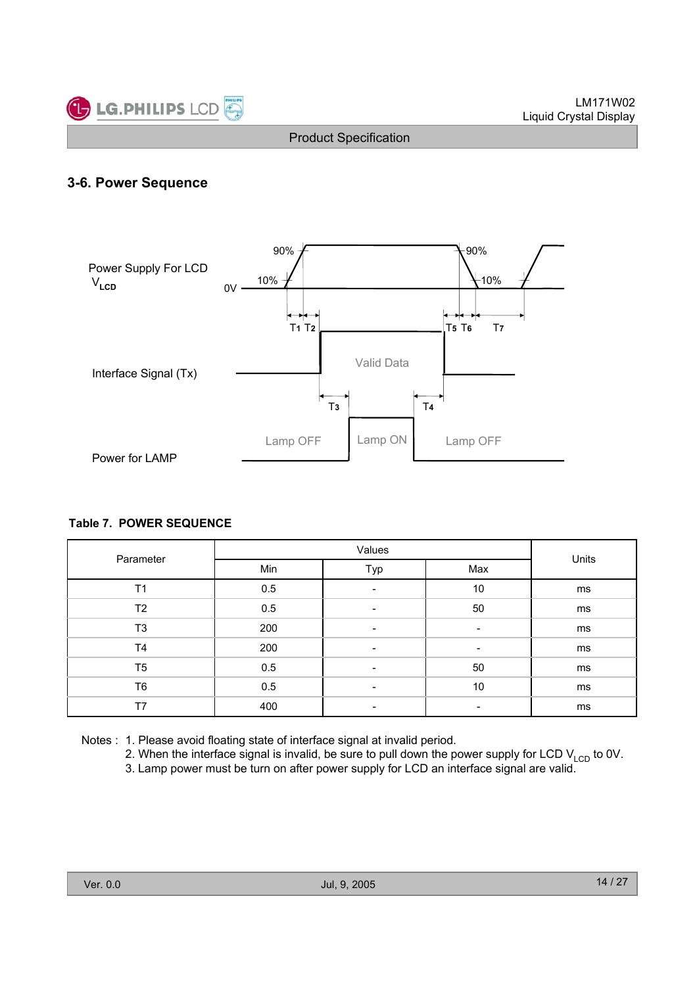

### **3-6. Power Sequence**



#### **Table 7. POWER SEQUENCE**

|                |     | Units                    |     |    |  |
|----------------|-----|--------------------------|-----|----|--|
| Parameter      | Min | Typ                      | Max |    |  |
| T <sub>1</sub> | 0.5 | $\overline{\phantom{0}}$ | 10  | ms |  |
| T <sub>2</sub> | 0.5 | -                        | 50  | ms |  |
| T <sub>3</sub> | 200 |                          |     | ms |  |
| <b>T4</b>      | 200 |                          |     | ms |  |
| T <sub>5</sub> | 0.5 | $\overline{\phantom{0}}$ | 50  | ms |  |
| T <sub>6</sub> | 0.5 | $\overline{\phantom{0}}$ | 10  | ms |  |
| T7             | 400 |                          |     | ms |  |

- Notes : 1. Please avoid floating state of interface signal at invalid period.
	- 2. When the interface signal is invalid, be sure to pull down the power supply for LCD  $V_{\text{LCD}}$  to 0V.
	- 3. Lamp power must be turn on after power supply for LCD an interface signal are valid.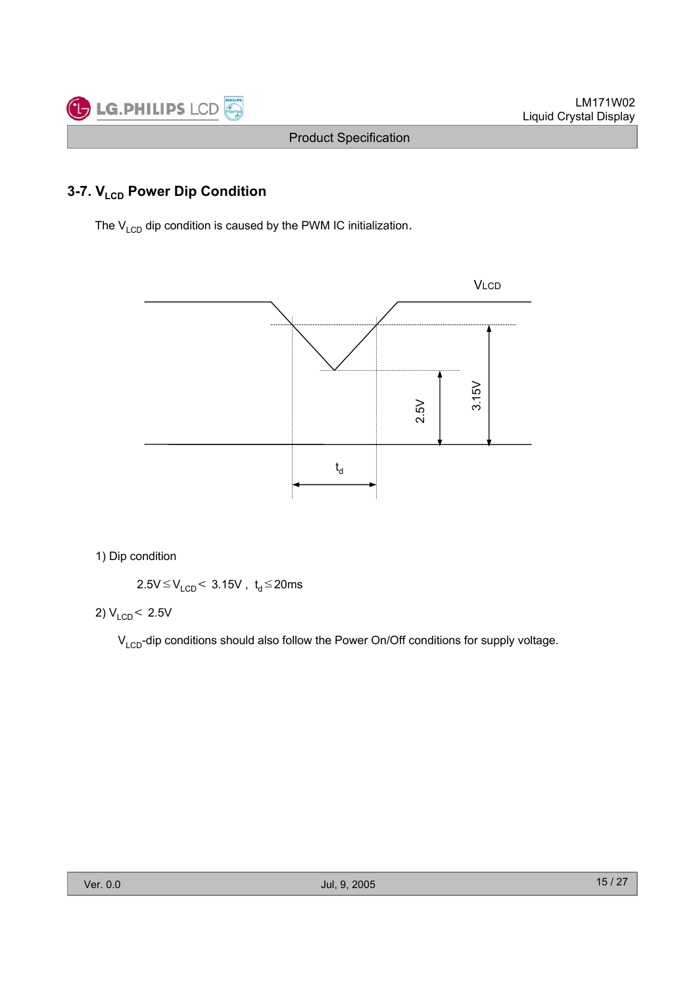

# **3-7. V<sub>LCD</sub> Power Dip Condition**

The  $V_{LCD}$  dip condition is caused by the PWM IC initialization.



1) Dip condition

 $2.5V \leq V_{LCD}$  < 3.15V , t<sub>d</sub>  $\leq$  20ms

2)  $V_{LCD}$  < 2.5V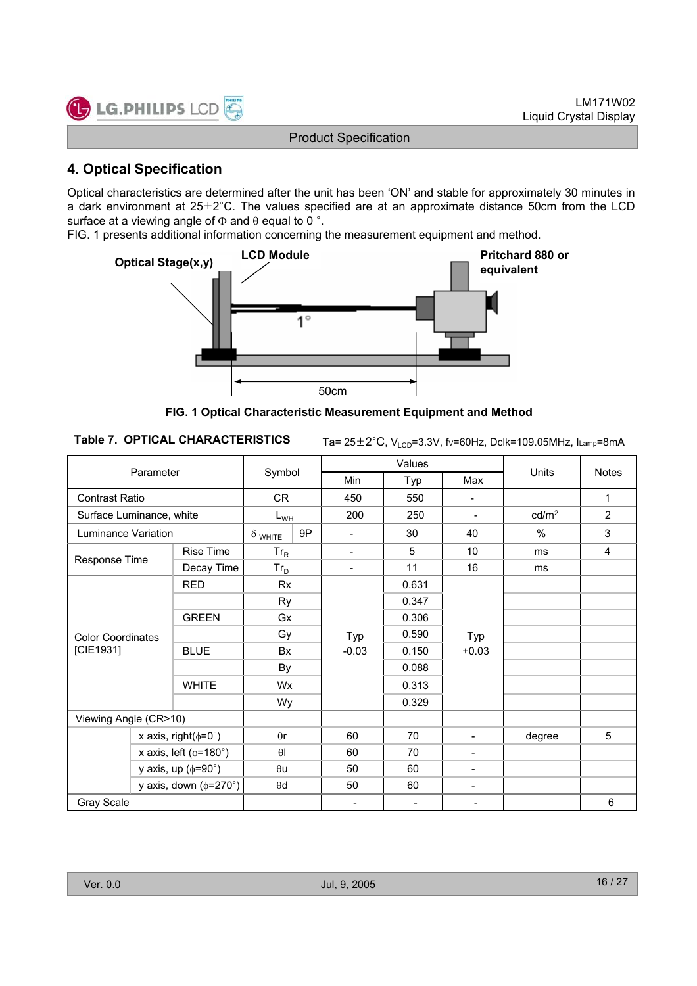

### **4. Optical Specification**

Optical characteristics are determined after the unit has been 'ON' and stable for approximately 30 minutes in a dark environment at  $25\pm2^{\circ}$ C. The values specified are at an approximate distance 50cm from the LCD surface at a viewing angle of  $\Phi$  and  $\theta$  equal to 0  $\degree$ .

FIG. 1 presents additional information concerning the measurement equipment and method.



**FIG. 1 Optical Characteristic Measurement Equipment and Method**

Ta= 25±2°C, V<sub>LCD</sub>=3.3V, fv=60Hz, Dclk=109.05MHz, ILamp=8mA

| Parameter                       |  |              |                      |            | Values                       |                          | Units                    | <b>Notes</b>      |              |
|---------------------------------|--|--------------|----------------------|------------|------------------------------|--------------------------|--------------------------|-------------------|--------------|
|                                 |  | Symbol       |                      | <b>Min</b> | Typ                          | Max                      |                          |                   |              |
| Contrast Ratio                  |  |              | CR.                  |            | 450                          | 550                      | $\overline{\phantom{a}}$ |                   | $\mathbf{1}$ |
| Surface Luminance, white        |  |              | $L_{WH}$             |            | 200                          | 250                      | $\overline{\phantom{a}}$ | cd/m <sup>2</sup> | 2            |
| Luminance Variation             |  |              | $\delta$ white       | 9P         | $\overline{\phantom{a}}$     | 30                       | 40                       | %                 | 3            |
|                                 |  | Rise Time    | $Tr_R$               |            | $\qquad \qquad \blacksquare$ | 5                        | 10                       | ms                | 4            |
| Response Time                   |  | Decay Time   | $Tr_D$               |            | $\overline{\phantom{a}}$     | 11                       | 16                       | ms                |              |
|                                 |  | <b>RED</b>   | Rx                   |            |                              | 0.631                    |                          |                   |              |
|                                 |  |              |                      | <b>Ry</b>  |                              | 0.347                    |                          |                   |              |
|                                 |  | <b>GREEN</b> | Gx<br>Gy<br>Bx<br>By |            |                              | 0.306                    | Typ<br>$+0.03$           |                   |              |
| <b>Color Coordinates</b>        |  |              |                      |            | Typ                          | 0.590                    |                          |                   |              |
| [CIE1931]                       |  | <b>BLUE</b>  |                      |            | $-0.03$                      | 0.150                    |                          |                   |              |
|                                 |  |              |                      |            |                              | 0.088                    |                          |                   |              |
|                                 |  | <b>WHITE</b> | Wx                   |            |                              | 0.313                    |                          |                   |              |
|                                 |  |              | Wy                   |            |                              | 0.329                    |                          |                   |              |
| Viewing Angle (CR>10)           |  |              |                      |            |                              |                          |                          |                   |              |
| x axis, right( $\phi$ =0°)      |  | $\theta$ r   |                      | 60         | 70                           | $\blacksquare$           | degree                   | 5                 |              |
| x axis, left ( $\phi$ =180°)    |  | $\theta$     |                      | 60         | 70                           | $\overline{\phantom{a}}$ |                          |                   |              |
| y axis, up $(\phi = 90^\circ)$  |  | $\theta$ u   |                      | 50         | 60                           | $\blacksquare$           |                          |                   |              |
| y axis, down $(\phi=270^\circ)$ |  | $\theta$ d   |                      | 50         | 60                           | $\overline{\phantom{a}}$ |                          |                   |              |
| Gray Scale                      |  |              |                      |            | $\overline{\phantom{a}}$     | $\overline{\phantom{a}}$ | $\overline{\phantom{a}}$ |                   | 6            |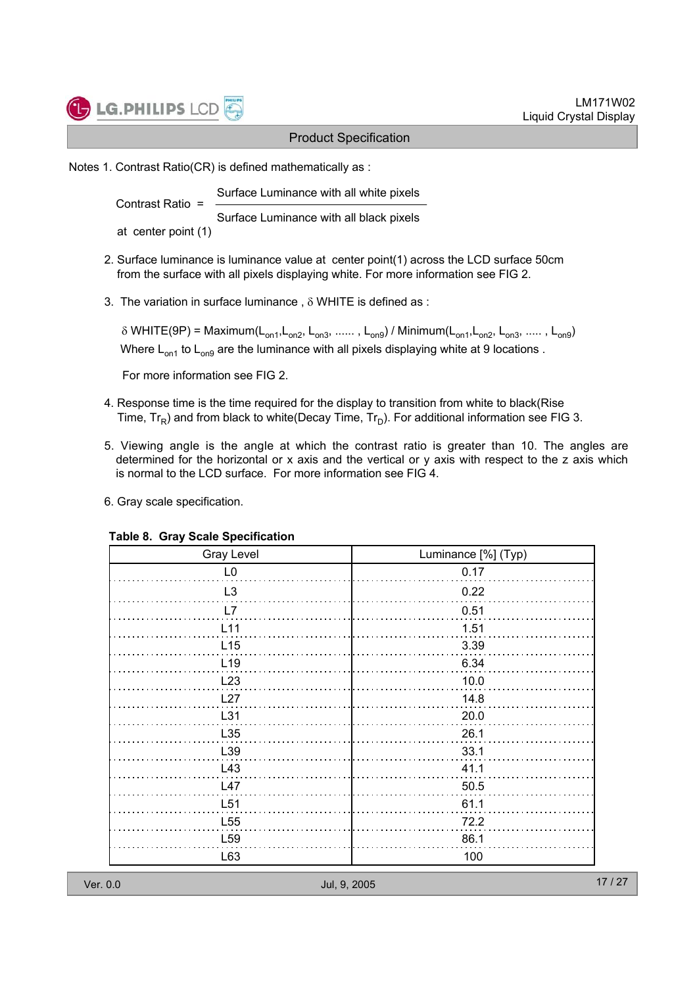

Notes 1. Contrast Ratio(CR) is defined mathematically as :

Surface Luminance with all white pixels Contrast Ratio =

Surface Luminance with all black pixels

at center point (1)

- 2. Surface luminance is luminance value at center point(1) across the LCD surface 50cm from the surface with all pixels displaying white. For more information see FIG 2.
- 3. The variation in surface luminance,  $\delta$  WHITE is defined as :

 $\delta$  WHITE(9P) = Maximum(L<sub>on1</sub>,L<sub>on2</sub>, L<sub>on3</sub>, ......, L<sub>on9</sub>) / Minimum(L<sub>on1</sub>,L<sub>on2</sub>, L<sub>on3</sub>, ....., L<sub>on9</sub>) Where  $L_{on1}$  to  $L_{on9}$  are the luminance with all pixels displaying white at 9 locations.

For more information see FIG 2.

- 4. Response time is the time required for the display to transition from white to black(Rise Time,  $Tr_{\mathsf{F}}$ ) and from black to white(Decay Time,  $Tr_{\mathsf{D}}$ ). For additional information see FIG 3.
- 5. Viewing angle is the angle at which the contrast ratio is greater than 10. The angles are determined for the horizontal or x axis and the vertical or y axis with respect to the z axis which is normal to the LCD surface. For more information see FIG 4.
- 6. Gray scale specification.

| <b>Gray Level</b> | Luminance [%] (Typ) |
|-------------------|---------------------|
| L <sub>0</sub>    | 0.17                |
| L <sub>3</sub>    | 0.22                |
| L7                | 0.51                |
| L <sub>11</sub>   | 1.51                |
| L15               | 3.39                |
| L <sub>19</sub>   | 6.34                |
| L23               | 10.0                |
| L27               | 14.8                |
| L31               | 20.0                |
| L35               | 26.1                |
| L39               | 33.1                |
| L43               | 41.1                |
| L47               | 50.5                |
| L <sub>51</sub>   | 61.1                |
| L <sub>55</sub>   | 72.2                |
| L <sub>59</sub>   | 86.1                |
| L63               | 100                 |

#### **Table 8. Gray Scale Specification**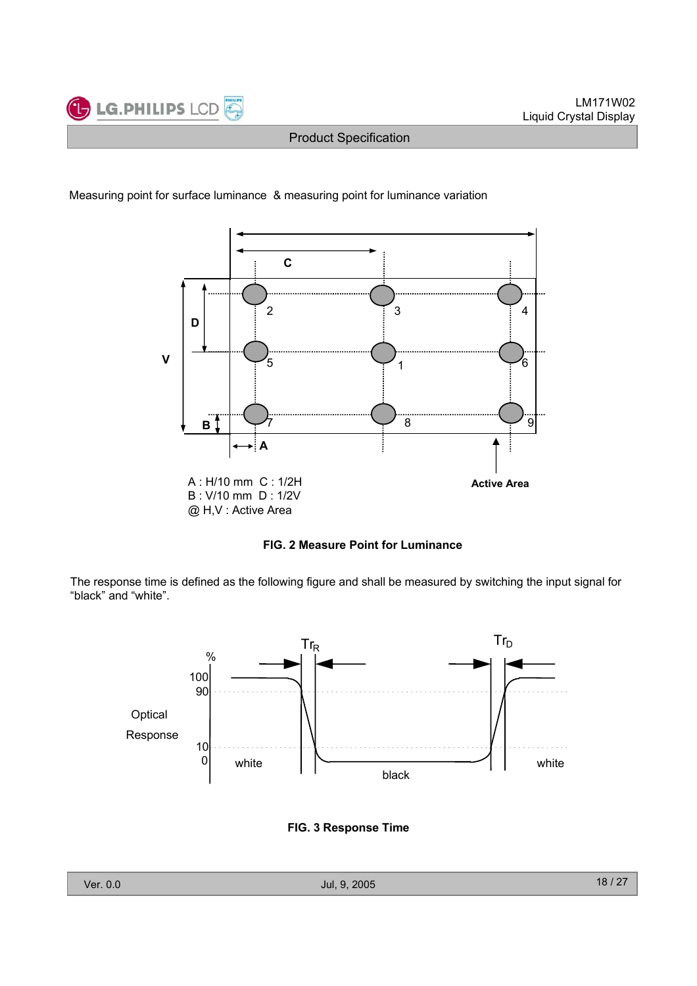



#### Measuring point for surface luminance & measuring point for luminance variation

**FIG. 2 Measure Point for Luminance** 

The response time is defined as the following figure and shall be measured by switching the input signal for "black" and "white".



**FIG. 3 Response Time**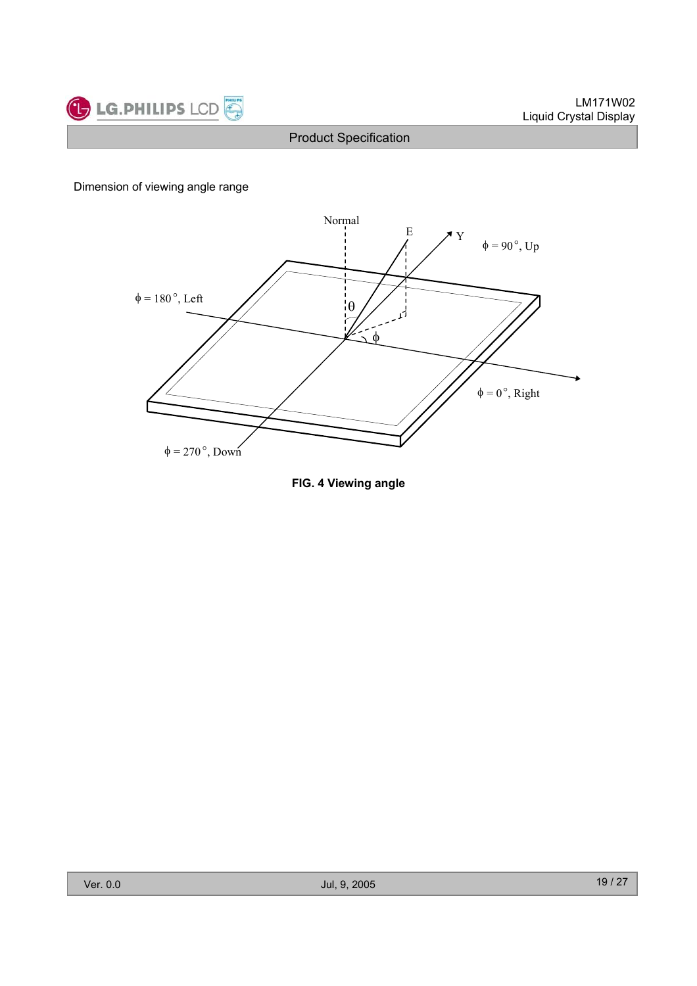

### Dimension of viewing angle range



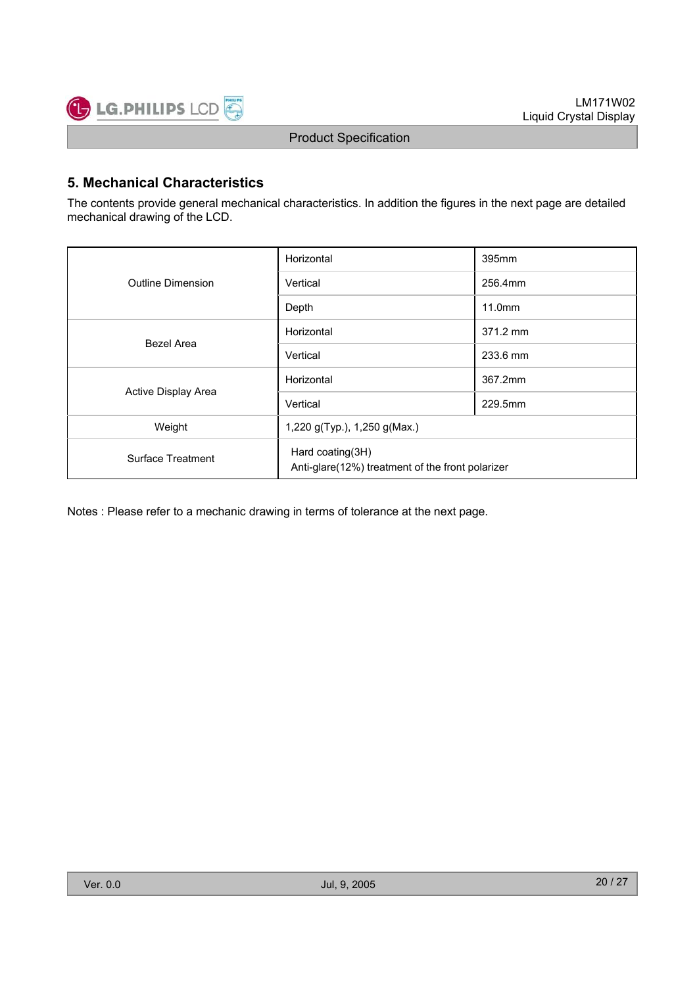

### **5. Mechanical Characteristics**

The contents provide general mechanical characteristics. In addition the figures in the next page are detailed mechanical drawing of the LCD.

|                     | Horizontal                                                           | 395mm    |  |  |  |
|---------------------|----------------------------------------------------------------------|----------|--|--|--|
| Outline Dimension   | Vertical                                                             | 256.4mm  |  |  |  |
|                     | Depth                                                                | 11.0mm   |  |  |  |
| Bezel Area          | Horizontal                                                           | 371.2 mm |  |  |  |
|                     | Vertical                                                             | 233.6 mm |  |  |  |
|                     | Horizontal                                                           | 367.2mm  |  |  |  |
| Active Display Area | Vertical                                                             | 229.5mm  |  |  |  |
| Weight              | 1,220 g(Typ.), 1,250 g(Max.)                                         |          |  |  |  |
| Surface Treatment   | Hard coating(3H)<br>Anti-glare(12%) treatment of the front polarizer |          |  |  |  |

Notes : Please refer to a mechanic drawing in terms of tolerance at the next page.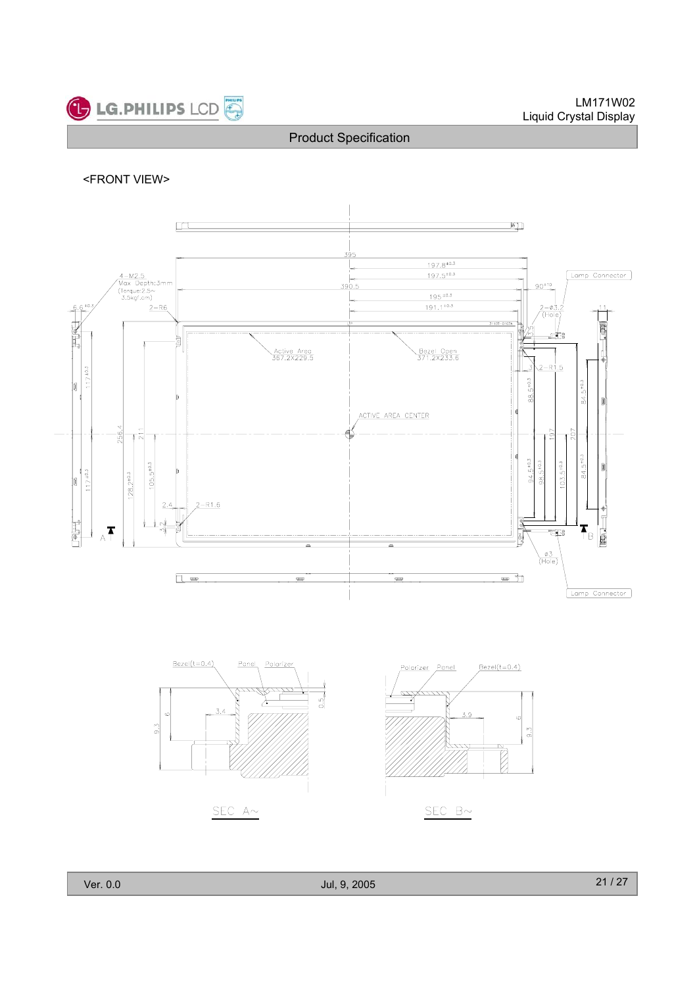

#### <FRONT VIEW>





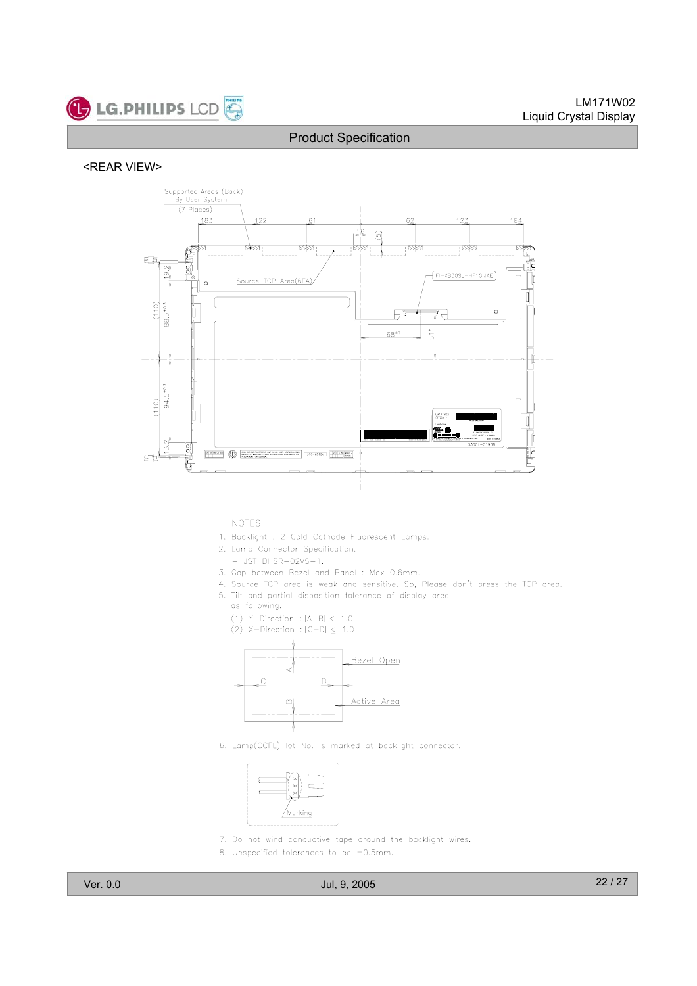#### <REAR VIEW>



#### **NOTES**

- 1. Backlight : 2 Cold Cathode Fluorescent Lamps.
- 2. Lamp Connector Specification.
	- $-$  JST BHSR-02VS-1.
- 3. Gap between Bezel and Panel : Max 0.6mm.
- 4. Source TCP area is weak and sensitive. So, Please don't press the TCP area.
- 5. Tilt and partial disposition tolerance of display area
	- as following.
	- (1) Y-Direction :  $|A-B| \leq 1.0$
	- (2) X-Direction :  $|C-D| \leq 1.0$



6. Lamp(CCFL) lot No. is marked at backlight connector.



- 7. Do not wind conductive tape around the backlight wires.
- 8. Unspecified tolerances to be  $\pm 0.5$ mm.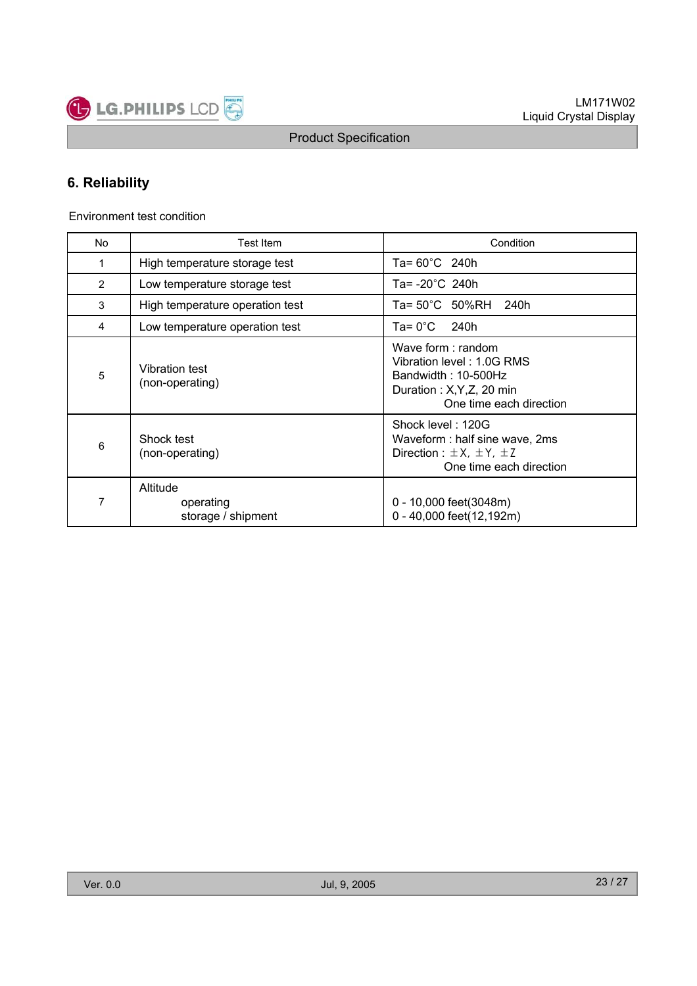

### **6. Reliability**

Environment test condition

LG.PHILIPS LCD

| No | Test Item                                   | Condition                                                                                                                     |  |  |  |  |
|----|---------------------------------------------|-------------------------------------------------------------------------------------------------------------------------------|--|--|--|--|
| 1  | High temperature storage test               | Ta= 60°C 240h                                                                                                                 |  |  |  |  |
| 2  | Low temperature storage test                | Ta= -20°C 240h                                                                                                                |  |  |  |  |
| 3  | High temperature operation test             | Ta= 50°C 50%RH<br>240h                                                                                                        |  |  |  |  |
| 4  | Low temperature operation test              | Ta= $0^{\circ}$ C<br>240h                                                                                                     |  |  |  |  |
| 5  | Vibration test<br>(non-operating)           | Wave form: random<br>Vibration level: 1.0G RMS<br>Bandwidth: 10-500Hz<br>Duration: X, Y, Z, 20 min<br>One time each direction |  |  |  |  |
| 6  | Shock test<br>(non-operating)               | Shock level: 120G<br>Waveform: half sine wave, 2ms<br>Direction : $\pm X$ , $\pm Y$ , $\pm Z$<br>One time each direction      |  |  |  |  |
| 7  | Altitude<br>operating<br>storage / shipment | 0 - 10,000 feet(3048m)<br>0 - 40,000 feet(12,192m)                                                                            |  |  |  |  |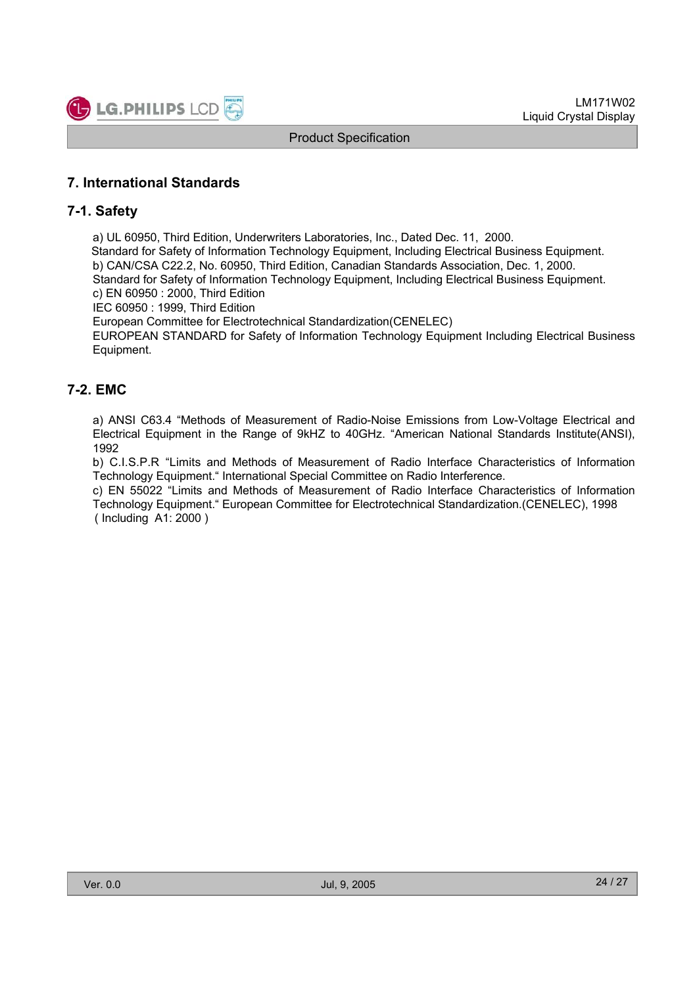

### **7. International Standards**

### **7-1. Safety**

a) UL 60950, Third Edition, Underwriters Laboratories, Inc., Dated Dec. 11, 2000.

Standard for Safety of Information Technology Equipment, Including Electrical Business Equipment.

b) CAN/CSA C22.2, No. 60950, Third Edition, Canadian Standards Association, Dec. 1, 2000.

Standard for Safety of Information Technology Equipment, Including Electrical Business Equipment.

c) EN 60950 : 2000, Third Edition

IEC 60950 : 1999, Third Edition

European Committee for Electrotechnical Standardization(CENELEC)

EUROPEAN STANDARD for Safety of Information Technology Equipment Including Electrical Business Equipment.

### **7-2. EMC**

a) ANSI C63.4 "Methods of Measurement of Radio-Noise Emissions from Low-Voltage Electrical and Electrical Equipment in the Range of 9kHZ to 40GHz. "American National Standards Institute(ANSI), 1992

b) C.I.S.P.R "Limits and Methods of Measurement of Radio Interface Characteristics of Information Technology Equipment." International Special Committee on Radio Interference.

c) EN 55022 "Limits and Methods of Measurement of Radio Interface Characteristics of Information Technology Equipment." European Committee for Electrotechnical Standardization.(CENELEC), 1998 ( Including A1: 2000 )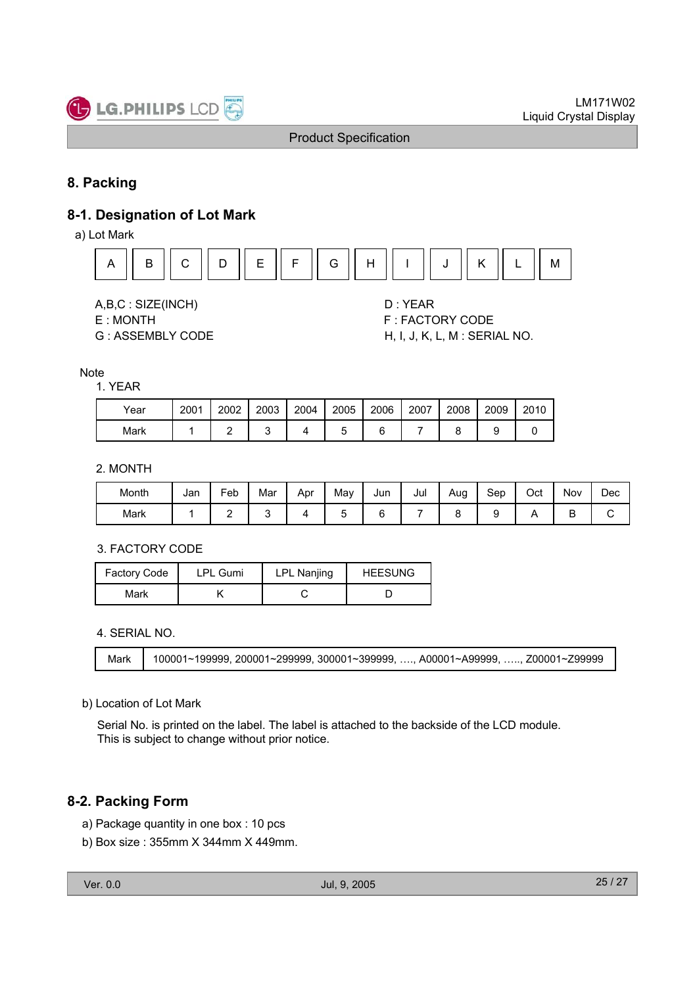

### **8. Packing**

### **8-1. Designation of Lot Mark**

a) Lot Mark



A,B,C : SIZE(INCH) D : YEAR

- 
- 

E : MONTH GET THE SERVICE OF STRACTORY CODE G : ASSEMBLY CODE H, I, J, K, L, M : SERIAL NO.

#### **Note**

#### 1. YEAR

| Year | 2001 | 2002 | 2003 | 2004 | 2005 | 2006 | 2007 | 2008 | 2009 | 2010 |
|------|------|------|------|------|------|------|------|------|------|------|
| Mark |      |      |      |      |      |      |      |      |      |      |

#### 2. MONTH

| Month | Jan | $\mathsf{e}_{\mathsf{e}}$ | Mar | Apr | May | Jun | Jul | Aug | Sep | Oct | Nov | Dec |
|-------|-----|---------------------------|-----|-----|-----|-----|-----|-----|-----|-----|-----|-----|
| Mark  |     | -                         |     |     |     |     |     |     |     |     |     | ∼   |

#### 3. FACTORY CODE

| Factory Code | LPL Gumi | <b>LPL Nanjing</b> | <b>HEESUNG</b> |  |  |
|--------------|----------|--------------------|----------------|--|--|
| Mark         |          |                    |                |  |  |

#### 4. SERIAL NO.



#### b) Location of Lot Mark

Serial No. is printed on the label. The label is attached to the backside of the LCD module. This is subject to change without prior notice.

### **8-2. Packing Form**

- a) Package quantity in one box : 10 pcs
- b) Box size : 355mm X 344mm X 449mm.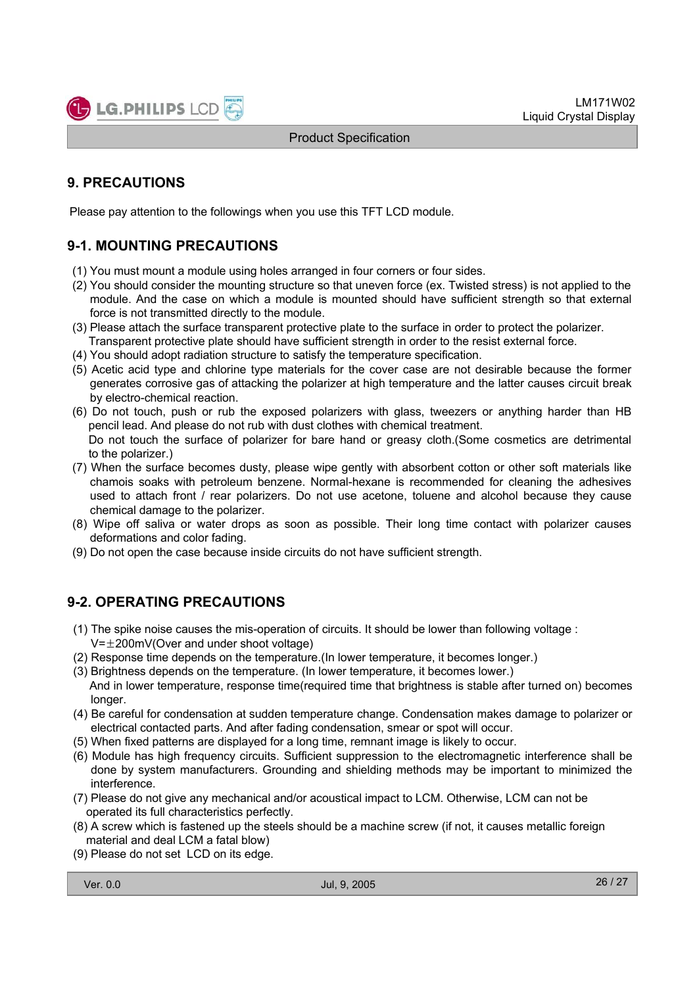

### **9. PRECAUTIONS**

Please pay attention to the followings when you use this TFT LCD module.

### **9-1. MOUNTING PRECAUTIONS**

- (1) You must mount a module using holes arranged in four corners or four sides.
- (2) You should consider the mounting structure so that uneven force (ex. Twisted stress) is not applied to the module. And the case on which a module is mounted should have sufficient strength so that external force is not transmitted directly to the module.
- (3) Please attach the surface transparent protective plate to the surface in order to protect the polarizer. Transparent protective plate should have sufficient strength in order to the resist external force.
- (4) You should adopt radiation structure to satisfy the temperature specification.
- (5) Acetic acid type and chlorine type materials for the cover case are not desirable because the former generates corrosive gas of attacking the polarizer at high temperature and the latter causes circuit break by electro-chemical reaction.
- (6) Do not touch, push or rub the exposed polarizers with glass, tweezers or anything harder than HB pencil lead. And please do not rub with dust clothes with chemical treatment.

Do not touch the surface of polarizer for bare hand or greasy cloth.(Some cosmetics are detrimental to the polarizer.)

- (7) When the surface becomes dusty, please wipe gently with absorbent cotton or other soft materials like chamois soaks with petroleum benzene. Normal-hexane is recommended for cleaning the adhesives used to attach front / rear polarizers. Do not use acetone, toluene and alcohol because they cause chemical damage to the polarizer.
- (8) Wipe off saliva or water drops as soon as possible. Their long time contact with polarizer causes deformations and color fading.
- (9) Do not open the case because inside circuits do not have sufficient strength.

### **9-2. OPERATING PRECAUTIONS**

- (1) The spike noise causes the mis-operation of circuits. It should be lower than following voltage :
	- $V=\pm 200$ mV(Over and under shoot voltage)
- (2) Response time depends on the temperature.(In lower temperature, it becomes longer.)
- (3) Brightness depends on the temperature. (In lower temperature, it becomes lower.) And in lower temperature, response time(required time that brightness is stable after turned on) becomes longer.
- (4) Be careful for condensation at sudden temperature change. Condensation makes damage to polarizer or electrical contacted parts. And after fading condensation, smear or spot will occur.
- (5) When fixed patterns are displayed for a long time, remnant image is likely to occur.
- (6) Module has high frequency circuits. Sufficient suppression to the electromagnetic interference shall be done by system manufacturers. Grounding and shielding methods may be important to minimized the interference.
- (7) Please do not give any mechanical and/or acoustical impact to LCM. Otherwise, LCM can not be operated its full characteristics perfectly.
- (8) A screw which is fastened up the steels should be a machine screw (if not, it causes metallic foreign material and deal LCM a fatal blow)
- (9) Please do not set LCD on its edge.